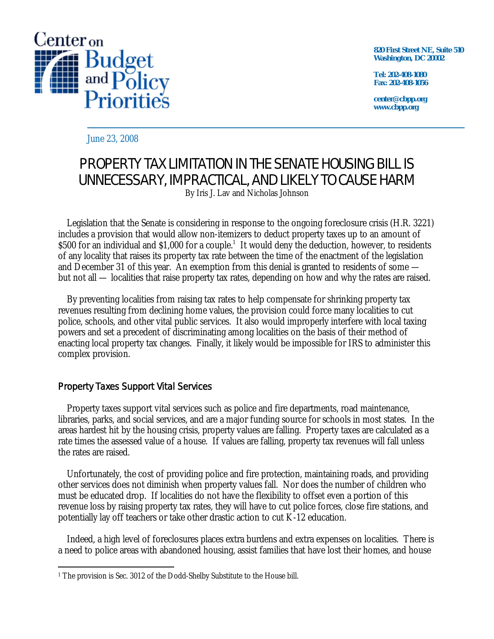

**820 First Street NE, Suite 510 Washington, DC 20002** 

**Tel: 202-408-1080 Fax: 202-408-1056** 

**center@cbpp.org www.cbpp.org** 

June 23, 2008

# PROPERTY TAX LIMITATION IN THE SENATE HOUSING BILL IS UNNECESSARY, IMPRACTICAL, AND LIKELY TO CAUSE HARM

By Iris J. Lav and Nicholas Johnson

Legislation that the Senate is considering in response to the ongoing foreclosure crisis (H.R. 3221) includes a provision that would allow non-itemizers to deduct property taxes up to an amount of \$500 for an individual and \$1,000 for a couple.<sup>1</sup> It would deny the deduction, however, to residents of any locality that raises its property tax rate between the time of the enactment of the legislation and December 31 of this year. An exemption from this denial is granted to residents of some but not all — localities that raise property tax rates, depending on how and why the rates are raised.

By preventing localities from raising tax rates to help compensate for shrinking property tax revenues resulting from declining home values, the provision could force many localities to cut police, schools, and other vital public services. It also would improperly interfere with local taxing powers and set a precedent of discriminating among localities on the basis of their method of enacting local property tax changes. Finally, it likely would be impossible for IRS to administer this complex provision.

# Property Taxes Support Vital Services

Property taxes support vital services such as police and fire departments, road maintenance, libraries, parks, and social services, and are a major funding source for schools in most states. In the areas hardest hit by the housing crisis, property values are falling. Property taxes are calculated as a rate times the assessed value of a house. If values are falling, property tax revenues will fall unless the rates are raised.

Unfortunately, the cost of providing police and fire protection, maintaining roads, and providing other services does not diminish when property values fall. Nor does the number of children who must be educated drop. If localities do not have the flexibility to offset even a portion of this revenue loss by raising property tax rates, they will have to cut police forces, close fire stations, and potentially lay off teachers or take other drastic action to cut K-12 education.

Indeed, a high level of foreclosures places extra burdens and extra expenses on localities. There is a need to police areas with abandoned housing, assist families that have lost their homes, and house

 $\overline{a}$ <sup>1</sup> The provision is Sec. 3012 of the Dodd-Shelby Substitute to the House bill.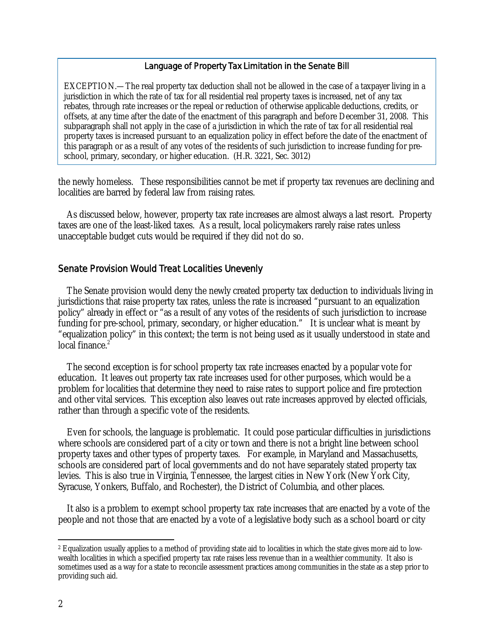#### Language of Property Tax Limitation in the Senate Bill

EXCEPTION.—The real property tax deduction shall not be allowed in the case of a taxpayer living in a jurisdiction in which the rate of tax for all residential real property taxes is increased, net of any tax rebates, through rate increases or the repeal or reduction of otherwise applicable deductions, credits, or offsets, at any time after the date of the enactment of this paragraph and before December 31, 2008. This subparagraph shall not apply in the case of a jurisdiction in which the rate of tax for all residential real property taxes is increased pursuant to an equalization policy in effect before the date of the enactment of this paragraph or as a result of any votes of the residents of such jurisdiction to increase funding for preschool, primary, secondary, or higher education. (H.R. 3221, Sec. 3012)

the newly homeless. These responsibilities cannot be met if property tax revenues are declining and localities are barred by federal law from raising rates.

 As discussed below, however, property tax rate increases are almost always a last resort. Property taxes are one of the least-liked taxes. As a result, local policymakers rarely raise rates unless unacceptable budget cuts would be required if they did not do so.

#### Senate Provision Would Treat Localities Unevenly

The Senate provision would deny the newly created property tax deduction to individuals living in jurisdictions that raise property tax rates, unless the rate is increased "pursuant to an equalization policy" already in effect or "as a result of any votes of the residents of such jurisdiction to increase funding for pre-school, primary, secondary, or higher education." It is unclear what is meant by "equalization policy" in this context; the term is not being used as it usually understood in state and local finance.<sup>2</sup>

The second exception is for school property tax rate increases enacted by a popular vote for education. It leaves out property tax rate increases used for other purposes, which would be a problem for localities that determine they need to raise rates to support police and fire protection and other vital services. This exception also leaves out rate increases approved by elected officials, rather than through a specific vote of the residents.

Even for schools, the language is problematic. It could pose particular difficulties in jurisdictions where schools are considered part of a city or town and there is not a bright line between school property taxes and other types of property taxes. For example, in Maryland and Massachusetts, schools are considered part of local governments and do not have separately stated property tax levies. This is also true in Virginia, Tennessee, the largest cities in New York (New York City, Syracuse, Yonkers, Buffalo, and Rochester), the District of Columbia, and other places.

It also is a problem to exempt school property tax rate increases that are enacted by a vote of the people and not those that are enacted by a vote of a legislative body such as a school board or city

 $\overline{a}$ 

<sup>2</sup> Equalization usually applies to a method of providing state aid to localities in which the state gives more aid to lowwealth localities in which a specified property tax rate raises less revenue than in a wealthier community. It also is sometimes used as a way for a state to reconcile assessment practices among communities in the state as a step prior to providing such aid.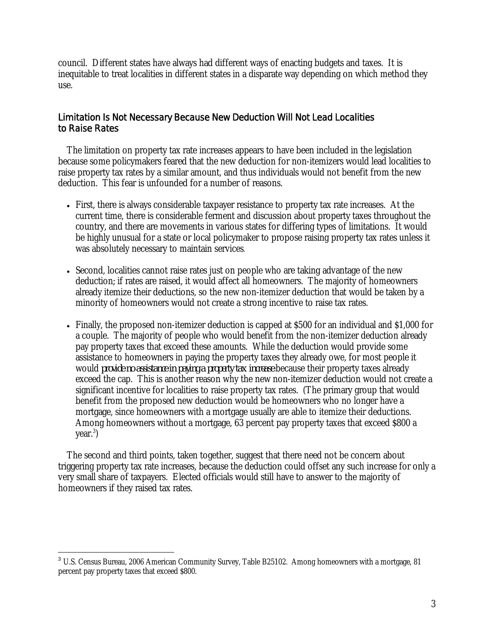council. Different states have always had different ways of enacting budgets and taxes. It is inequitable to treat localities in different states in a disparate way depending on which method they use.

## Limitation Is Not Necessary Because New Deduction Will Not Lead Localities to Raise Rates

The limitation on property tax rate increases appears to have been included in the legislation because some policymakers feared that the new deduction for non-itemizers would lead localities to raise property tax rates by a similar amount, and thus individuals would not benefit from the new deduction. This fear is unfounded for a number of reasons.

- First, there is always considerable taxpayer resistance to property tax rate increases. At the current time, there is considerable ferment and discussion about property taxes throughout the country, and there are movements in various states for differing types of limitations. It would be highly unusual for a state or local policymaker to propose raising property tax rates unless it was absolutely necessary to maintain services.
- Second, localities cannot raise rates just on people who are taking advantage of the new deduction; if rates are raised, it would affect all homeowners. The majority of homeowners already itemize their deductions, so the new non-itemizer deduction that would be taken by a minority of homeowners would not create a strong incentive to raise tax rates.
- Finally, the proposed non-itemizer deduction is capped at \$500 for an individual and \$1,000 for a couple. The majority of people who would benefit from the non-itemizer deduction already pay property taxes that exceed these amounts. While the deduction would provide some assistance to homeowners in paying the property taxes they already owe, for most people it would *provide no assistance in paying a property tax increase* because their property taxes already exceed the cap. This is another reason why the new non-itemizer deduction would not create a significant incentive for localities to raise property tax rates. (The primary group that would benefit from the proposed new deduction would be homeowners who no longer have a mortgage, since homeowners with a mortgage usually are able to itemize their deductions. Among homeowners without a mortgage, 63 percent pay property taxes that exceed \$800 a year.3 )

The second and third points, taken together, suggest that there need not be concern about triggering property tax rate increases, because the deduction could offset any such increase for only a very small share of taxpayers. Elected officials would still have to answer to the majority of homeowners if they raised tax rates.

<u>.</u>

<sup>&</sup>lt;sup>3</sup> U.S. Census Bureau, 2006 American Community Survey, Table B25102. Among homeowners with a mortgage, 81 percent pay property taxes that exceed \$800.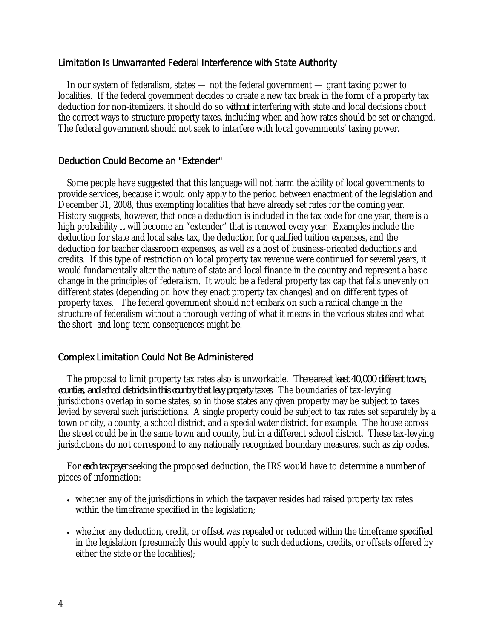### Limitation Is Unwarranted Federal Interference with State Authority

In our system of federalism, states — not the federal government — grant taxing power to localities. If the federal government decides to create a new tax break in the form of a property tax deduction for non-itemizers, it should do so *without* interfering with state and local decisions about the correct ways to structure property taxes, including when and how rates should be set or changed. The federal government should not seek to interfere with local governments' taxing power.

## Deduction Could Become an "Extender"

Some people have suggested that this language will not harm the ability of local governments to provide services, because it would only apply to the period between enactment of the legislation and December 31, 2008, thus exempting localities that have already set rates for the coming year. History suggests, however, that once a deduction is included in the tax code for one year, there is a high probability it will become an "extender" that is renewed every year. Examples include the deduction for state and local sales tax, the deduction for qualified tuition expenses, and the deduction for teacher classroom expenses, as well as a host of business-oriented deductions and credits. If this type of restriction on local property tax revenue were continued for several years, it would fundamentally alter the nature of state and local finance in the country and represent a basic change in the principles of federalism. It would be a federal property tax cap that falls unevenly on different states (depending on how they enact property tax changes) and on different types of property taxes. The federal government should not embark on such a radical change in the structure of federalism without a thorough vetting of what it means in the various states and what the short- and long-term consequences might be.

### Complex Limitation Could Not Be Administered

The proposal to limit property tax rates also is unworkable. *There are at least 40,000 different towns, counties, and school districts in this country that levy property taxes.* The boundaries of tax-levying jurisdictions overlap in some states, so in those states any given property may be subject to taxes levied by several such jurisdictions. A single property could be subject to tax rates set separately by a town or city, a county, a school district, and a special water district, for example. The house across the street could be in the same town and county, but in a different school district. These tax-levying jurisdictions do not correspond to any nationally recognized boundary measures, such as zip codes.

For *each taxpayer* seeking the proposed deduction, the IRS would have to determine a number of pieces of information:

- whether any of the jurisdictions in which the taxpayer resides had raised property tax rates within the timeframe specified in the legislation;
- whether any deduction, credit, or offset was repealed or reduced within the timeframe specified in the legislation (presumably this would apply to such deductions, credits, or offsets offered by either the state or the localities);